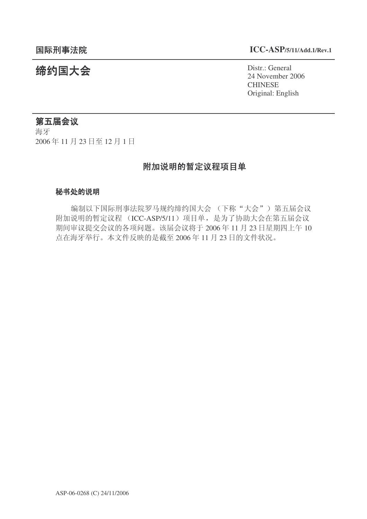# 䰙ߥџ⊩䰶 **ICC-ASP/5/11/Add.1/Rev.1**

统约国大会 Pistra March 24 November 2018 24 November 2006 **CHINESE** Original: English

# 第五届会议

海牙 2006年11月23日至12月1日

# 附加说明的暂定议程项目单

#### 秘书处的说明

编制以下国际刑事法院罗马规约缔约国大会 (下称"大会") 第五届会议 附加说明的暂定议程 (ICC-ASP/5/11) 项目单, 是为了协助大会在第五届会议 期间审议提交会议的各项问题。该届会议将于 2006年11月 23 日星期四上午 10 点在海牙举行。本文件反映的是截至 2006年11月23日的文件状况。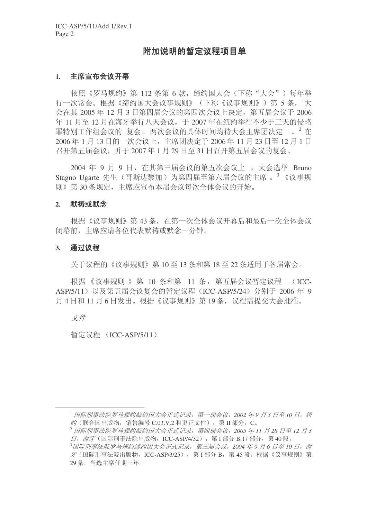# 附加说明的暂定议程项目单

#### 1. 主席宣布会议开幕

依照《罗马规约》第112 条第 6 款, 缔约国大会(下称"大会") 每年举 行一次常会。根据《缔约国大会议事规则》(下称《议事规则》)第 5 条,<sup>1</sup>大  $\Leftrightarrow$  在其 2005 年 12 月 3 日第四届会议的第四次会议上决定, 第五届会议于 2006 年 11 月至 12 月在海牙举行八天会议, 干 2007 年在纽约举行不少于三天的侵略 罪特别工作组会议的 复会。两次会议的具体时间均待大会主席团决定 。 2 在 2006年1月13日的一次会议上, 主席团决定于 2006年11月23日至12月1日  $A^2 + B^2 + B^2 = 2007 + 1$  月 29 日至 31 日召开第五届会议的复会。

2004 年 9 月 9 日, 在其第三届会议的第五次会议上, 大会选举 Bruno Stagno Ugarte 先生(哥斯达黎加)为第四届至第六届会议的主席。<sup>3</sup>《议事规 则》第30条规定,主席应宣布本届会议每次全体会议的开始。

#### 2. 默祷或默念

根据《议事规则》第43条, 在第一次全体会议开幕后和最后一次全体会议 闭幕前, 主席应请各位代表默祷或默念一分钟。

#### 3. 通过议程

关于议程的《议事规则》第10至13 条和第18 至 22 条适用于各届常会。

根据《议事规则 》第 10 条和第 11 条, 第五届会议暂定议程 (ICC-ASP/5/11) 以及第五届会议复会的暂定议程 (ICC-ASP/5/24) 分别于 2006 年 9 月 4 日和 11 月 6 日发出。根据《议事规则》第 19 条, 议程需提交大会批准。

文件

暂定议程 (ICC-ASP/5/11)

<sup>&</sup>lt;sup>1</sup> 国际刑事法院罗马规约缔约国大会正式记录,第一届会议,2002年9月3日至10日,纽 约(联合国出版物, 销售编号  $C.03.V.2$  和更正文件), 第 II 部分,  $C$ 。

<sup>2</sup> 䰙ߥџ⊩䰶㔫偀㾘㑺㓨㑺Ӯℷᓣ䆄ᔩˈಯሞӮ䆂ˈ*2005* ᑈ *11* ᳜ *28* ᮹㟇 *12* ᳜ *3*  $\overline{H}$ , 海牙(国际刑事法院出版物, ICC-ASP/4/32), 第 I 部分 B.17 部分, 第 40 段。

<sup>&</sup>lt;sup>3</sup>国际刑事法院罗马规约缔约国大会正式记录,第三届会议,2004 年9 月 6 日至 10 日,海  $\mathcal{F}$ (国际刑事法院出版物, ICC-ASP/3/25), 第 I 部分 B, 第 45 段。根据《议事规则》第 29 条, 当选主席仟期三年。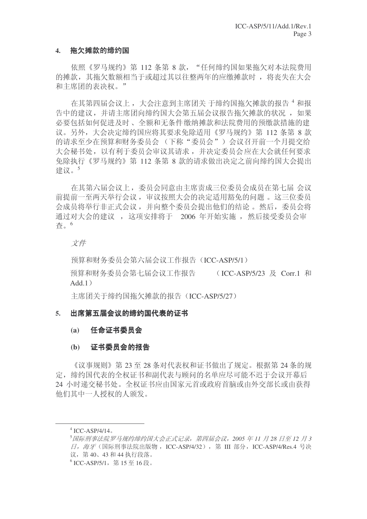# 4. 拖欠摊款的缔约国

依照《罗马规约》第 112 条第 8 款, "任何缔约国如果拖欠对本法院费用 的摊款, 其拖欠数额相当于或超过其以往整两年的应缴摊款时, 将丧失在大会 和主席团的表决权。"

在其第四届会议上, 大会注意到主席团关 于缔约国拖欠摊款的报告 4 和报 告中的建议, 并请主席团向缔约国大会第五届会议报告拖欠摊款的状况, 如果 必要包括如何促进及时、全额和无条件缴纳摊款和法院费用的预缴款措施的建 议。另外, 大会决定缔约国应将其要求免除适用《罗马规约》第 112 条第 8 款 的请求至少在预算和财务委员会(下称"委员会")会议召开前一个月提交给 大会秘书处, 以有利于委员会审议其请求, 并决定委员会应在大会就任何要求 免除执行《罗马规约》第 112 条第 8 款的请求做出决定之前向缔约国大会提出 建议。<sup>5</sup>

在其第六届会议上,委员会同意由主席责成三位委员会成员在第七届 会议 前提前一至两天举行会议, 审议按照大会的决定适用豁免的问题。 这三位委员 会成员将举行非正式会议,并向整个委员会提出他们的结论。然后,委员会将 通过对大会的建议, 这项安排将于 2006 年开始实施, 然后接受委员会审 杳。6

# 文件

预算和财务委员会第六届会议工作报告(ICC-ASP/5/1)

预算和财务委员会第七届会议工作报告 (ICC-ASP/5/23 及 Corr.1 和  $Add.1)$ 

主席团关于缔约国拖欠摊款的报告 (ICC-ASP/5/27)

# 5. 出席第五届会议的缔约国代表的证书

#### (a) 任命证书委员会

# (b) 证书委员会的报告

《议事规则》第23至28条对代表权和证书做出了规定。根据第24条的规 定, 缔约国代表的全权证书和副代表与顾问的名单应尽可能不迟于会议开幕后 24 小时递交秘书处。全权证书应由国家元首或政府首脑或由外交部长或由获得 他们其中一人授权的人颁发。

 $4$  ICC-ASP/4/14.

<sup>&</sup>lt;sup>5</sup> 国际刑事法院罗马规约缔约国大会正式记录,第四届会议,2005年11月28日至12月3 日, 海牙(国际刑事法院出版物, ICC-ASP/4/32), 第 Ⅲ 部分, ICC-ASP/4/Res.4 号决 议, 第40、43 和44 执行段落。

 $^6$  ICC-ASP/5/1,第15至16段。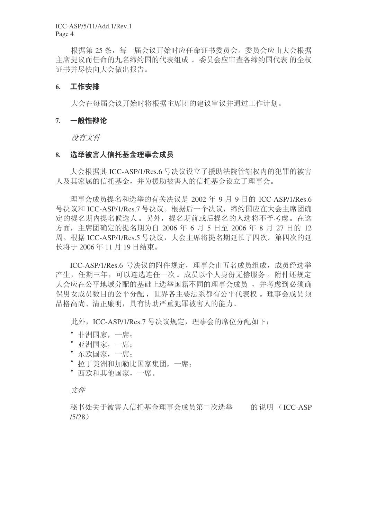根据第25条,每一届会议开始时应任命证书委员会。委员会应由大会根据 主席提议而任命的九名缔约国的代表组成。委员会应审查各缔约国代表 的全权 证书并尽快向大会做出报告。

## 6. 工作安排

大会在每届会议开始时将根据主席团的建议审议并通过工作计划。

## 7. 一般性辩论

没有文件

#### 8. 选举被害人信托基金理事会成员

大会根据其 ICC-ASP/1/Res.6 号决议设立了援助法院管辖权内的犯罪的被害 人及其家属的信托基金,并为援助被害人的信托基金设立了理事会。

理事会成员提名和选举的有关决议是 2002 年 9 月 9 日的 ICC-ASP/1/Res.6 号决议和 ICC-ASP/1/Res.7 号决议。根据后一个决议, 缔约国应在大会主席团确 定的提名期内提名候选人。另外,提名期前或后提名的人选将不予考虑。在这 方面, 主席团确定的提名期为自 2006 年 6 月 5 日至 2006 年 8 月 27 日的 12 周。根据 ICC-ASP/1/Res.5 号决议, 大会主席将提名期延长了四次。第四次的延 长将于 2006年11月19日结束。

ICC-ASP/1/Res.6 号决议的附件规定, 理事会由五名成员组成, 成员经选举 产生, 任期三年, 可以连选连任一次。成员以个人身份无偿服务。附件还规定 大会应在公平地域分配的基础上选举国籍不同的理事会成员,并考虑到必须确 保男女成员数目的公平分配, 世界各主要法系都有公平代表权。 理事会成员须 品格高尚、清正廉明, 具有协助严重犯罪被害人的能力。

此外, ICC-ASP/1/Res.7 号决议规定, 理事会的席位分配如下:

- 非洲国家, 一席:
- 亚洲国家, 一席:
- 东欧国家, 一席:
- 拉丁美洲和加勒比国家集团, 一席:
- 西欧和其他国家, 一席。

文件

秘书处关于被害人信托基金理事会成员第二次选举 的说明 (ICC-ASP  $/5/28)$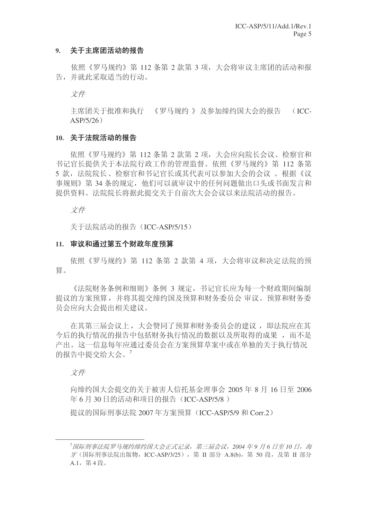## 9. 关于主席团活动的报告

依照《罗马规约》第112 条第 2 款第 3 项, 大会将审议主席团的活动和报 告,并就此采取适当的行动。

文件

主席团关于批准和执行 《罗马规约 》及参加缔约国大会的报告 (ICC- $ASP/5/26)$ 

#### 10. 关于法院活动的报告

依照《罗马规约》第112 条第 2 款第 2 项, 大会应向院长会议、检察官和 书记官长提供关于本法院行政工作的管理监督。依照《罗马规约》第 112 条第 5 款, 法院院长、检察官和书记官长或其代表可以参加大会的会议。根据《议 事规则》第34条的规定,他们可以就审议中的任何问题做出口头或书面发言和 提供资料。法院院长将据此提交关于自前次大会会议以来法院活动的报告。

文件

关于法院活动的报告 (ICC-ASP/5/15)

#### 11. 审议和通过第五个财政年度预算

依照《罗马规约》第 112 条第 2 款第 4 项, 大会将审议和决定法院的预 算。

《法院财务条例和细则》条例 3 规定, 书记官长应为每一个财政期间编制 提议的方案预算,并将其提交缔约国及预算和财务委员会 审议。预算和财务委 员会应向大会提出相关建议。

在其第三届会议上, 大会赞同了预算和财务委员会的建议, 即法院应在其 今后的执行情况的将告中包括财务执行情况的数据以及所取得的成果,而不是 产出。这一信息每年应通过委员会在方案预算草案中或在单独的关于执行情况 的报告中提交给大会。7

文件

向缔约国大会提交的关于被害人信托基金理事会  $2005 \, \text{ft} \, 8 \, \text{F}$  16 日至 2006 年 6 月 30 日的活动和项目的报告 (ICC-ASP/5/8)

提议的国际刑事法院 2007 年方案预算 (ICC-ASP/5/9 和 Corr.2)

<sup>&</sup>lt;sup>7</sup>国际刑事法院罗马规约缔约国大会正式记录, 第三届会议, 2004 年9 月 6 日至 10 日, 海  $\mathcal{F}$  (国际刑事法院出版物, ICC-ASP/3/25), 第 II 部分 A.8(b), 第 50 段, 及第 II 部分  $A.1.$  第4段。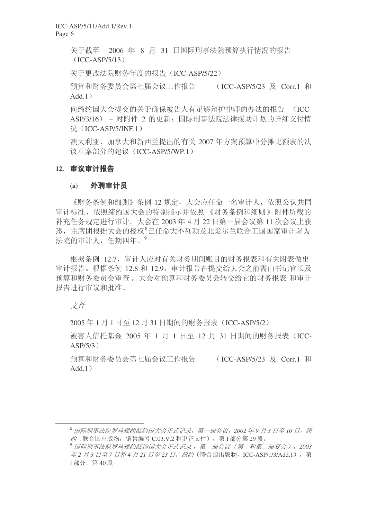关于截至 2006 年 8 月 31 日国际刑事法院预算执行情况的报告  $(ICC-ASP/5/13)$ 

关于更改法院财务年度的报告 (ICC-ASP/5/22)

预算和财务委员会第七届会议工作报告 (ICC-ASP/5/23 及 Corr.1 和  $Add.1)$ 

向缔约国大会提交的关于确保被告人有足够辩护律师的办法的报告 (ICC-ASP/3/16) – 对附件 2 的更新: 国际刑事法院法律援助计划的详细支付情 况 (ICC-ASP/5/INF.1)

澳大利亚、加拿大和新西兰提出的有关 2007 年方案预算中分摊比额表的决 议草案部分的建议 (ICC-ASP/5/WP.1)

#### 12. 审议审计报告

#### (a) 外聘审计员

《财务条例和细则》条例 12 规定, 大会应任命一名审计人, 依照公认共同 审计标准, 依照缔约国大会的特别指示并依照 《财务条例和细则》附件所载的 补充任务规定进行审计。大会在 2003 年 4 月 22 日第一届会议第 11 次会议上获 悉, 主席团根据大会的授权<sup>8</sup>已任命大不列颠及北爱尔兰联合王国国家审计署为 法院的审计人, 任期四年。9

根据条例 12.7, 审计人应对有关财务期间账目的财务报表和有关附表做出 审计报告。根据条例 12.8 和 12.9,审计报告在提交给大会之前需由书记官长及 预算和财务委员会转交给它的财务报表 和审计 报告讲行审议和批准。

文件

2005年1月1日至12月31日期间的财务报表 (ICC-ASP/5/2)

被害人信托基金 2005 年 1 月 1 日至 12 月 31 日期间的财务报表 (ICC- $ASP/5/3)$ 

预算和财务委员会第七届会议工作报告 (ICC-ASP/5/23 及 Corr.1 和  $Add.1)$ 

<sup>&</sup>lt;sup>8</sup> 国际刑事法院罗马规约缔约国大会正式记录, 第一届会议, 2002 年9 月3 日至 10 日, 纽 约(联合国出版物,销售编号  $C.03.V.2$  和更正文件), 第 I 部分第 29 段。

<sup>9</sup> 国际刑事法院罗马规约缔约国大会正式记录, 第一届会议(第一和第二届复会), 2003 车2 月3 日至7 日和4 月21 日至23 日, 纽约 (联合国出版物, ICC-ASP/1/3/Add.1), 第 I 部分, 第40段。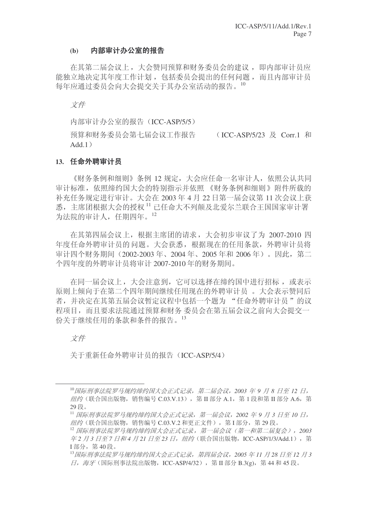#### (b) 内部审计办公室的报告

在其第二届会议上, 大会赞同预算和财务委员会的建议, 即内部审计员应 能独立地决定其年度工作计划, 包括委员会提出的任何问题, 而且内部审计员 每年应通过委员会向大会提交关于其办公室活动的报告。10

文件

内部审计办公室的报告 (ICC-ASP/5/5)

预算和财务委员会第七届会议工作报告 (ICC-ASP/5/23 及 Corr.1 和  $Add.1)$ 

### 13. 任命外聘审计员

《财务条例和细则》条例 12 规定, 大会应任命一名审计人, 依照公认共同 审计标准, 依照缔约国大会的特别指示并依照 《财务条例和细则》附件所载的 补充任务规定进行审计。大会在 2003 年 4 月 22 日第一届会议第 11 次会议上获  $\mathcal{R}$ , 主席团根据大会的授权  $^{11}$  已任命大不列颠及北爱尔兰联合王国国家审计署 为法院的审计人, 任期四年。12

在其第四届会议上, 根据主席团的请求, 大会初步审议了为 2007-2010 四 年度任命外聘审计员的问题。大会获悉,根据现在的任用条款,外聘审计员将 审计四个财务期间 (2002-2003年、2004年、2005年和2006年)。因此, 第二 个四年度的外聘审计员将审计 2007-2010 年的财务期间。

在同一届会议上,大会注意到,它可以选择在缔约国中进行招标,或表示 原则上倾向于在第二个四年期间继续任用现在的外聘审计员。 大会表示赞同后 者,并决定在其第五届会议暂定议程中包括一个题为"任命外聘审计员"的议 程项目,而且要求法院通过预算和财务委员会在第五届会议之前向大会提交一 份关于继续任用的条款和条件的报告。13

文件

关于重新任命外聘审计员的报告 (ICC-ASP/5/4)

<sup>&</sup>lt;sup>10</sup> 国际刑事法院罗马规约缔约国大会正式记录,第二届会议, 2003 年 9 月 8 日至 12 日, 纽约 (联合国出版物, 销售编号 C.03.V.13), 第 Ⅱ部分 A.1, 第 1 段和第 Ⅱ部分 A.6, 第 29段。

<sup>&</sup>lt;sup>11</sup> 国际刑事法院罗马规约缔约国大会正式记录,第一届会议,2002 年9 月 3 日至 10 日,  $\mathscr{A}\mathscr{B}$  (联合国出版物, 销售编号  $C_{.03}$ .V.2 和更正文件), 第 I 部分, 第 29 段。

<sup>&</sup>lt;sup>12</sup> 国际刑事法院罗马规约缔约国大会正式记录, 第一届会议(第一和第二届复会), 2003 车2 月3 日至7 日和4 月21 日至23 日, 纽约 (联合国出版物, ICC-ASP/1/3/Add.1), 第 I 部分, 第40段。

<sup>&</sup>lt;sup>13</sup> 国际刑事法院罗马规约缔约国大会正式记录,第四届会议, 2005 年11 月 28 日至 12 月 3  $\Pi$ , 海牙(国际刑事法院出版物, ICC-ASP/4/32), 第Ⅱ部分 B.3(g), 第44 和45 段。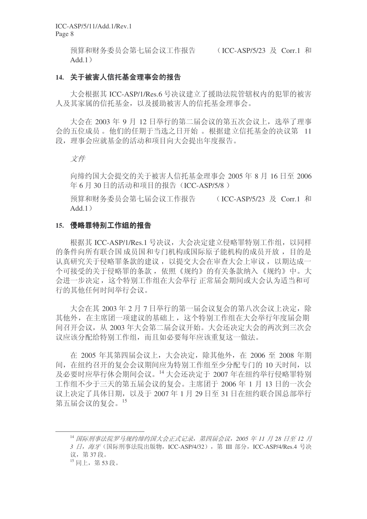预算和财务委员会第七届会议工作报告 (ICC-ASP/5/23 及 Corr.1 和  $Add.1)$ 

# 14. 关于被害人信托基金理事会的报告

大会根据其 ICC-ASP/1/Res.6 号决议建立了援助法院管辖权内的犯罪的被害 人及其家属的信托基金, 以及援助被害人的信托基金理事会。

大会在 2003 年 9 月 12 日举行的第二届会议的第五次会议上, 选举了理事 会的五位成员。他们的任期于当选之日开始。根据建立信托基金的决议第 11 段, 理事会应就基金的活动和项目向大会提出年度报告。

#### 文件

向缔约国大会提交的关于被害人信托基金理事会 2005 年 8 月 16 日至 2006 年 6 月 30 日的活动和项目的报告 (ICC-ASP/5/8)

预算和财务委员会第七届会议工作报告 (ICC-ASP/5/23 及 Corr.1 和  $Add.1)$ 

#### 15. 侵略罪特别工作组的报告

根据其 ICC-ASP/1/Res.1 号决议, 大会决定建立侵略罪特别工作组, 以同样 的条件向所有联合国成员国和专门机构或国际原子能机构的成员开放,目的是 认真研究关于侵略罪条款的建议, 以提交大会在审查大会上审议, 以期达成一 个可接受的关于侵略罪的条款, 依照《规约》的有关条款纳入《规约》中。大 会进一步决定, 这个特别工作组在大会举行 正常届会期间或大会认为适当和可 行的其他仟何时间举行会议。

大会在其 2003年2月7日举行的第一届会议复会的第八次会议上决定, 除 其他外, 在主席团一项建议的基础上, 这个特别工作组在大会举行年度届会期 间召开会议, 从 2003 年大会第二届会议开始。大会还决定大会的两次到三次会 议应该分配给特别工作组,而且如必要每年应该重复这一做法。

在 2005 年其第四届会议上, 大会决定, 除其他外, 在 2006 至 2008 年期 间, 在纽约召开的复会会议期间应为特别工作组至少分配专门的 10 天时间, 以  $\nabla \omega$ 要时应举行休会期间会议。 $^{14}$ 大会还决定于 2007 年在纽约举行侵略罪特别 工作组不少于三天的第五届会议的复会。主席团于 2006 年 1 月 13 日的一次会 议上决定了具体日期, 以及于 2007年 1月 29 日至 31 日在纽约联合国总部举行 第五届会议的复会。15

<sup>&</sup>lt;sup>14</sup> 国际刑事法院罗马规约缔约国大会正式记录, 第四届会议, 2005 年 11 月 28 日至 12 月 3 日, 海牙(国际刑事法院出版物, ICC-ASP/4/32), 第 III 部分, ICC-ASP/4/Res.4 号决 议, 第37段。

 $^{15}$  同上, 第53段。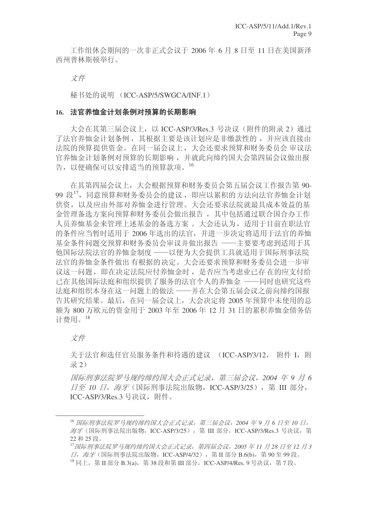工作组休会期间的一次非正式会议于 2006 年 6 月 8 日至 11 日在美国新泽 西州普林斯顿举行。

文件

秘书处的说明 (ICC-ASP/5/SWGCA/INF.1)

#### 16. 法官养恤金计划条例对预算的长期影响

大会在其第三届会议上, 以 ICC-ASP/3/Res.3 号决议 (附件的附录 2) 通过 了法官养恤金计划条例, 其根据主要是该计划应是非缴款性的, 并应该直接由 法院的预算提供资金。在同一届会议上,大会还要求预算和财务委员会 审议法 官养恤金计划条例对预算的长期影响 ,并就此向缔约国大会第四届会议做出报 告,以便确保可以安排适当的预算款项。16

在其第四届会议上,大会根据预算和财务委员会第五届会议工作报告第90-99 段<sup>17</sup>, 同意预算和财务委员会的建议, 即应以累积的方法向法官养恤金计划 供资, 以及应由外部对养恤金进行管理。大会还要求法院就最具成本效益的基 金管理备洗方案向预算和财务委员会做出报告, 其中包括通过联合国合办工作 人员养恤基金来管理上述基金的备选方案。 大会还认为, 适用于目前在职法官 的条件应当暂时适用于 2006 年选出的法官,并进一步决定将适用于法官的养恤 基金条件问题交预算和财务委员会审议并做出报告 ——主要要考虑到适用于其 他国际法院法官的养恤金制度 ——以便为大会提供工具就适用于国际刑事法院 法官的养恤金条件做出有根据的决定。大会还要求预算和财务委员会进一步审 议这一问题, 即在决定法院应付养恤金时, 是否应当考虑业已存在的应支付给 已在其他国际法庭和组织提供了服务的法官个人的养恤金 ——同时也研究这些 法庭和组织本身在这一问题上的做法 ——并在大会第五届会议之前向缔约国报 告其研究结果。最后, 在同一届会议上, 大会决定将 2005 年预算中未使用的总 额为 800 万欧元的资金用于 2003 年至 2006 年 12 月 31 日的累积养恤金债务估 计费用。18

文件

关于法官和选任官员服务条件和待遇的建议 (ICC-ASP/3/12, 附件 I, 附 录 2)

**国际刑事法院罗马规约缔约国大会正式记录, 第三届会议, 2004 年 9 月 6**  $\exists$ 至 10 日, 海牙 (国际刑事法院出版物, ICC-ASP/3/25), 第 Ⅲ 部分, ICC-ASP/3/Res.3 号决议, 附件。

<sup>16</sup> 国际刑事法院罗马规约缔约国大会正式记录, 第三届会议, 2004 年 9 月 6 日至 10 日, 海牙(国际刑事法院出版物, ICC-ASP/3/25), 第 III 部分, ICC-ASP/3/Res.3 号决议, 第 22 和 25 段。

<sup>&</sup>lt;sup>17</sup> 国际刑事法院罗马规约缔约国大会正式记录, 第四届会议, 2005 年11 月 28 日至 12 月 3  $\Box$ , 海牙(国际刑事法院出版物, ICC-ASP/4/32), 第 II 部分 B.6(b), 第 90 至 99 段。  $^{18}$  同上, 第 II 部分 B.3(a), 第 38 段和第 III 部分, ICC-ASP/4/Res. 9 号决议, 第 7 段。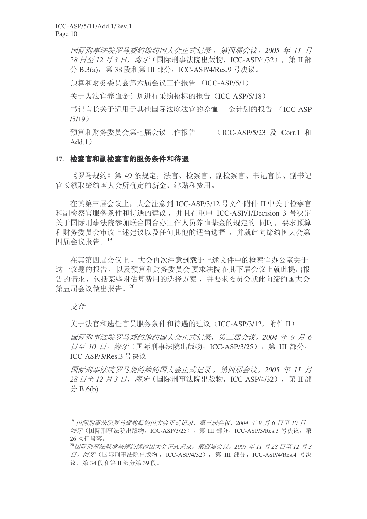**国际刑事法院罗马规约缔约国大会正式记录, 第四届会议, 2005 年 11 月** 28 *日至 12 月 3 日. 海牙* (国际刑事法院出版物, ICC-ASP/4/32), 第 Ⅱ 部 分 B.3(a), 第 38 段和第 III 部分, ICC-ASP/4/Res.9 号决议。

预算和财务委员会第六届会议工作报告 (ICC-ASP/5/1)

关于为法官养恤金计划进行采购招标的报告(ICC-ASP/5/18)

书记官长关于适用于其他国际法庭法官的养恤 金计划的报告 (ICC-ASP  $/5/19)$ 

预算和财务委员会第七届会议工作报告 (ICC-ASP/5/23 及 Corr.1 和  $Add.1)$ 

# 17. 检察官和副检察官的服务条件和待遇

《罗马规约》第49 条规定,法官、检察官、副检察官、书记官长、副书记 官长领取缔约国大会所确定的薪金、津贴和费用。

在其第三届会议上, 大会注意到 ICC-ASP/3/12 号文件附件 II 中关于检察官 和副检察官服务条件和待遇的建议, 并且在重申 ICC-ASP/1/Decision 3 号决定 关于国际刑事法院参加联合国合办工作人员养恤基金的规定的 同时, 要求预算 和财务委员会审议上述建议以及任何其他的适当选择,并就此向缔约国大会第 四届会议报告。19

在其第四届会议上, 大会再次注意到载于上述文件中的检察官办公室关于 这一议题的报告,以及预算和财务委员会要求法院在其下届会议上就此提出报 告的请求,包括某些附估算费用的选择方案,并要求委员会就此向缔约国大会 第五届会议做出报告。20

# 文件

关于法官和选任官员服务条件和待遇的建议(ICC-ASP/3/12, 附件 II)

**国际刑事法院罗马规约缔约国大会正式记录。第三届会议, 2004 年 9 月 6 日至 10 日, 海牙** (国际刑事法院出版物, ICC-ASP/3/25), 第 Ⅲ 部分, ICC-ASP/3/Res.3 号决议

**国际刑事法院罗马规约缔约国大会正式记录, 第四届会议, 2005 年 11 月** 28 日至12 月 3 日, 海牙 (国际刑事法院出版物, ICC-ASP/4/32), 第 Ⅱ 部 ߚ B.6(b)

<sup>&</sup>lt;sup>19</sup> 国际刑事法院罗马规约缔约国大会正式记录, 第三届会议, 2004 年 9 月 6 日至 10 日, 海牙(国际刑事法院出版物, ICC-ASP/3/25), 第 III 部分, ICC-ASP/3/Res.3 号决议, 第 26 执行段落。

<sup>&</sup>lt;sup>20</sup> 国际刑事法院罗马规约缔约国大会正式记录,第四届会议, 2005 年11 月 28 日至 12 月 3 日, 海牙(国际刑事法院出版物, ICC-ASP/4/32), 第 Ⅲ 部分, ICC-ASP/4/Res.4 号决 议, 第34 段和第 II 部分第 39 段。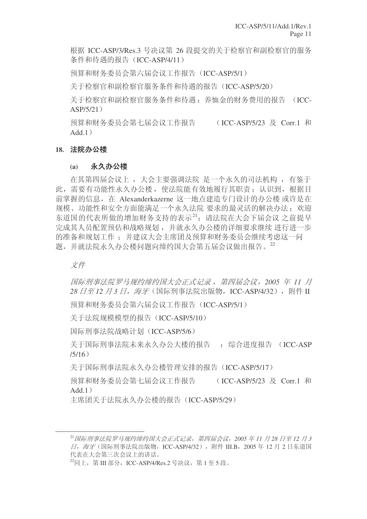根据 ICC-ASP/3/Res.3 号决议第 26 段提交的关于检察官和副检察官的服务 条件和待遇的报告 (ICC-ASP/4/11)

预算和财务委员会第六届会议工作报告(ICC-ASP/5/1)

关于检察官和副检察官服务条件和待遇的报告(ICC-ASP/5/20)

关于检察官和副检察官服务条件和待遇: 养恤金的财务费用的报告 (ICC- $ASP/5/21)$ 

预算和财务委员会第七届会议工作报告 (ICC-ASP/5/23 及 Corr.1 和  $Add.1)$ 

## 18. 法院办公楼

# (a) 永久办公楼

在其第四届会议上, 大会主要强调法院 是一个永久的司法机构, 有鉴于 此, 需要有功能性永久办公楼, 使法院能有效地履行其职责: 认识到, 根据目 前掌握的信息, 在 Alexanderkazerne 这一地点建造专门设计的办公楼 或许是在 规模、功能性和安全方面能满足一个永久法院 要求的最灵活的解决办法; 欢迎 东道国的代表所做的增加财务支持的表示21; 请法院在大会下届会议 之前提早 完成其人员配置预估和战略规划,并就永久办公楼的详细要求继续 进行进一步 的准备和规划工作; 并建议大会主席团及预算和财务委员会继续考虑这一问 题,并就法院永久办公楼问题向缔约国大会第五届会议做出报告。22

文件

**国际刑事法院罗马规约缔约国大会正式记录, 第四届会议, 2005 年 11 月** 28 日至12 月3 日, 海牙 (国际刑事法院出版物, ICC-ASP/4/32), 附件 II

预算和财务委员会第六届会议工作报告 (ICC-ASP/5/1)

关于法院规模模型的报告 (ICC-ASP/5/10)

国际刑事法院战略计划(ICC-ASP/5/6)

关于国际刑事法院未来永久办公大楼的报告 : 综合讲度报告 (ICC-ASP  $/5/16)$ 

关于国际刑事法院永久办公楼管理安排的报告 (ICC-ASP/5/17)

预算和财务委员会第七届会议工作报告 (ICC-ASP/5/23 及 Corr.1 和  $Add.1)$ 

主席团关于法院永久办公楼的报告 (ICC-ASP/5/29)

<sup>&</sup>lt;sup>21</sup> 国际刑事法院罗马规约缔约国大会正式记录, 第四届会议, 2005 年 11 月 28 日至 12 月 3  $\Box$ / 海牙(国际刑事法院出版物, ICC-ASP/4/32), 附件 III.B, 2005年 12 月 2 日东道国 代表在大会第三次会议上的讲话。

 $^{22}$ 同上, 第 III 部分, ICC-ASP/4/Res.2 号决议, 第 1 至 5 段。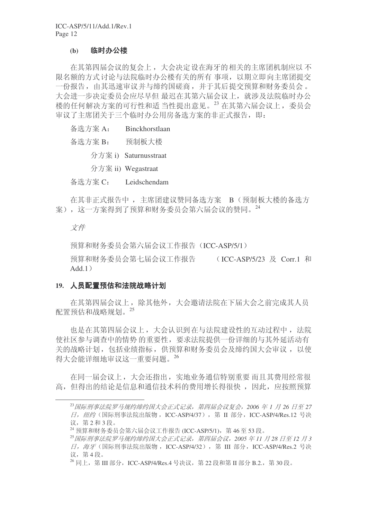### (b) 临时办公楼

在其第四届会议的复会上, 大会决定设在海牙的相关的主席团机制应以不 限名额的方式讨论与法院临时办公楼有关的所有事项,以期立即向主席团提交 一份报告, 由其迅速审议并与缔约国磋商, 并于其后提交预算和财务委员会。 大会进一步决定委员会应尽早但 最迟在其第六届会议上, 就涉及法院临时办公 楼的任何解决方案的可行性和适 当性提出意见。<sup>23</sup> 在其第六届会议上, 委员会 宙议了主席团关于三个临时办公用房备选方案的非正式报告, 即:

| 备选方案 A: | Binckhorstlaan        |
|---------|-----------------------|
| 备选方案 B: | 预制板大楼                 |
|         | 分方案 i) Saturnusstraat |
|         | 分方案 ii) Wegastraat    |
| 备选方案 C: | Leidschendam          |

在其非正式报告中, 主席团建议赞同备选方案 B (预制板大楼的备选方 案), 这一方案得到了预算和财务委员会第六届会议的赞同。<sup>24</sup>

# 文件

预算和财务委员会第六届会议工作报告(ICC-ASP/5/1)

预算和财务委员会第七届会议工作报告 (ICC-ASP/5/23 及 Corr.1 和  $Add.1)$ 

#### 19. 人员配置预估和法院战略计划

在其第四届会议上, 除其他外, 大会邀请法院在下届大会之前完成其人员 配置预估和战略规划。25

也是在其第四届会议上,大会认识到在与法院建设性的互动过程中, 法院 使社区参与调查中的情势的重要性,要求法院提供一份详细的与其外延活动有 关的战略计划, 包括业绩指标, 供预算和财务委员会及缔约国大会审议, 以使 得大会能详细地审议这一重要问题。<sup>26</sup>

在同一届会议上,大会还指出,实地业务通信特别重要而且其费用经常很 高, 但得出的结论是信息和通信技术科的费用增长得很快, 因此, 应按照预算

<sup>&</sup>lt;sup>23</sup> 国际刑事法院罗马规约缔约国大会正式记录, 第四届会议复会, 2006 年 1 月 26 日至 27  $\Box$  / 纽约 (国际刑事法院出版物, ICC-ASP/4/37), 第 Ⅱ 部分, ICC-ASP/4/Res.12 号决 议. 第2和3段。

 $^{24}$  预算和财务委员会第六届会议工作报告 (ICC-ASP/5/1), 第46至53段。

<sup>&</sup>lt;sup>25</sup> 国际刑事法院罗马规约缔约国大会正式记录, 第四届会议, 2005 年11 月 28 日至 12 月 3 日, 海牙(国际刑事法院出版物, ICC-ASP/4/32), 第 Ⅲ 部分, ICC-ASP/4/Res.2 号决 议, 第4段。

 $^{26}$  同上, 第 III 部分, ICC-ASP/4/Res.4 号决议, 第 22 段和第 II 部分 B.2., 第 30 段。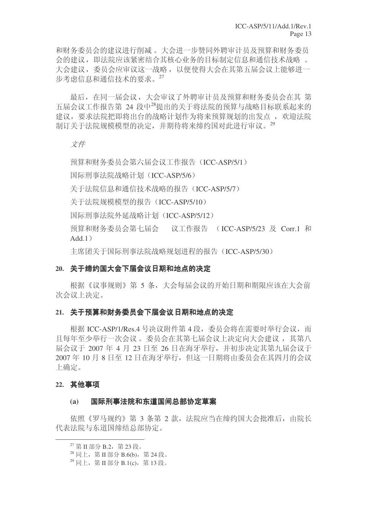和财务委员会的建议进行削减。大会进一步赞同外聘审计员及预算和财务委员 会的建议, 即法院应该紧密结合其核心业务的目标制定信息和通信技术战略 。 大会建议,委员会应审议这一战略,以便使得大会在其第五届会议上能够进一 步考虑信息和通信技术的要求。27

最后, 在同一届会议, 大会审议了外聘审计员及预算和财务委员会在其 第 五届会议工作报告第 24 段中28提出的关于将法院的预算与战略目标联系起来的 建议, 要求法院把即将出台的战略计划作为将来预算规划的出发点, 欢迎法院 制订关于法院规模模型的决定,并期待将来缔约国对此进行审议。29

#### 文件

预算和财务委员会第六届会议工作报告 (ICC-ASP/5/1)

国际刑事法院战略计划 (ICC-ASP/5/6)

关于法院信息和通信技术战略的报告(ICC-ASP/5/7)

关于法院规模模型的报告 (ICC-ASP/5/10)

国际刑事法院外延战略计划 (ICC-ASP/5/12)

预算和财务委员会第七届会 议工作报告 (ICC-ASP/5/23 及 Corr.1 和  $Add.1)$ 

主席团关于国际刑事法院战略规划进程的报告 (ICC-ASP/5/30)

#### 20. 关于缔约国大会下届会议日期和地点的决定

根据《议事规则》第 5 条, 大会每届会议的开始日期和期限应该在大会前 次会议上决定。

## 21. 关于预算和财务委员会下届会议日期和地点的决定

根据 ICC-ASP/1/Res.4 号决议附件第 4 段, 委员会将在需要时举行会议, 而 且每年至少举行一次会议。委员会在其第七届会议上决定向大会建议, 其第八 届会议于 2007 年 4 月 23 日至 26 日在海牙举行, 并初步决定其第九届会议于 2007年10月8日至12日在海牙举行, 但这一日期将由委员会在其四月的会议 上确定。

#### 22. 其他事项

#### (a) 国际刑事法院和东道国间总部协定草案

依照《罗马规约》第3条第2款, 法院应当在缔约国大会批准后, 由院长 代表法院与东道国缔结总部协定。

 $^{27}$  第 II 部分 B.2, 第 23段。

 $^{28}$  同上, 第 II 部分 B.6(b), 第 24 段。

 $^{29}$  同上, 第 II 部分 B.1(c), 第 13 段。